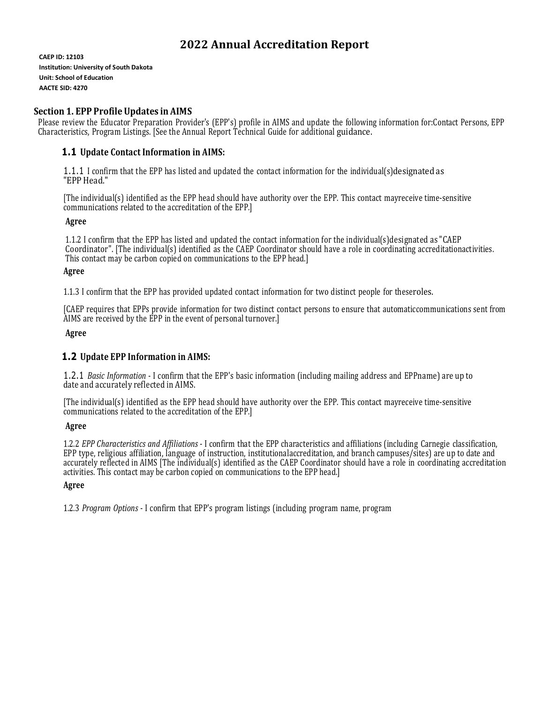# **2022 Annual Accreditation Report**

**CAEP ID: 12103 Institution: University of South Dakota Unit: School of Education AACTE SID: 4270**

# **Section 1. EPP Profile Updates in AIMS**

Please review the Educator Preparation Provider's (EPP's) profile in AIMS and update the following information for:Contact Persons, EPP Characteristics, Program Listings. [See the Annual Report Technical Guide for additional guidance.

### **1.1 Update Contact Information in AIMS:**

1.1.1 I confirm that the EPP has listed and updated the contact information for the individual(s)designated as "EPP Head."

[The individual(s) identified as the EPP head should have authority over the EPP. This contact mayreceive time-sensitive communications related to the accreditation of the EPP.]

### **Agree**

1.1.2 I confirm that the EPP has listed and updated the contact information for the individual(s)designated as "CAEP Coordinator". [The individual(s) identified as the CAEP Coordinator should have a role in coordinating accreditationactivities. This contact may be carbon copied on communications to the EPP head.]

### **Agree**

1.1.3 I confirm that the EPP has provided updated contact information for two distinct people for theseroles.

[CAEP requires that EPPs provide information for two distinct contact persons to ensure that automaticcommunications sent from AIMS are received by the EPP in the event of personal turnover.]

**Agree**

### **1.2 Update EPP Information in AIMS:**

1.2.1 *Basic Information* - I confirm that the EPP's basic information (including mailing address and EPPname) are up to date and accurately reflected in AIMS.

[The individual(s) identified as the EPP head should have authority over the EPP. This contact mayreceive time-sensitive communications related to the accreditation of the EPP.]

### **Agree**

1.2.2 *EPP Characteristics and Affiliations* - I confirm that the EPP characteristics and affiliations (including Carnegie classification, EPP type, religious affiliation, language of instruction, institutionalaccreditation, and branch campuses/sites) are up to date and accurately reflected in AIMS [The individual(s) identified as the CAEP Coordinator should have a role in coordinating accreditation activities. This contact may be carbon copied on communications to the EPP head.]

### **Agree**

1.2.3 *Program Options* - I confirm that EPP's program listings (including program name, program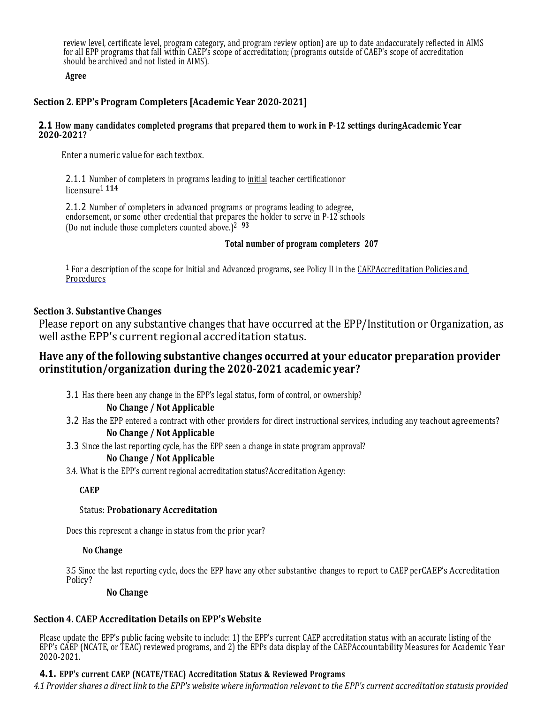review level, certificate level, program category, and program review option) are up to date andaccurately reflected in AIMS for all EPP programs that fall within CAEP's scope of accreditation; (programs outside of CAEP's scope of accreditation should be archived and not listed in AIMS).

### **Agree**

# **Section 2. EPP's Program Completers [Academic Year 2020-2021]**

### **2.1 How many candidates completed programs that prepared them to work in P-12 settings duringAcademic Year 2020-2021?**

Enter a numeric value for each textbox.

2.1.1 Number of completers in programs leading to *initial* teacher certificationor licensure<sup>1</sup> **<sup>114</sup>**

2.1.2 Number of completers in advanced programs or programs leading to adegree, endorsement, or some other credential that prepares the holder to serve in P-12 schools (Do not include those completers counted above.)2 **<sup>93</sup>**

### **Total number of program completers 207**

<sup>1</sup> For a description of the scope for Initial and Advanced programs, see Policy II in the [CAEPAccreditation](http://www.caepnet.org/~/media/Files/caep/accreditation-resources/accreditation-policy-final.pdf?la=en) Policies an[d](http://www.caepnet.org/~/media/Files/caep/accreditation-resources/accreditation-policy-final.pdf?la=en) **[Procedures](http://www.caepnet.org/~/media/Files/caep/accreditation-resources/accreditation-policy-final.pdf?la=en)** 

### **Section 3. Substantive Changes**

Please report on any substantive changes that have occurred at the EPP/Institution or Organization, as well asthe EPP's current regional accreditation status.

# **Have any of the following substantive changes occurred at your educator preparation provider orinstitution/organization during the 2020-2021 academic year?**

3.1 Has there been any change in the EPP's legal status, form of control, or ownership?

### **No Change / Not Applicable**

- 3.2 Has the EPP entered a contract with other providers for direct instructional services, including any teachout agreements? **No Change / Not Applicable**
- 3.3 Since the last reporting cycle, has the EPP seen a change in state program approval?

### **No Change / Not Applicable**

3.4. What is the EPP's current regional accreditation status?Accreditation Agency:

### **CAEP**

### Status: **Probationary Accreditation**

Does this represent a change in status from the prior year?

#### **No Change**

3.5 Since the last reporting cycle, does the EPP have any other substantive changes to report to CAEP perCAEP's Accreditation Policy?

#### **No Change**

### **Section 4. CAEP Accreditation Details on EPP's Website**

Please update the EPP's public facing website to include: 1) the EPP's current CAEP accreditation status with an accurate listing of the EPP's CAEP (NCATE, or TEAC) reviewed programs, and 2) the EPPs data display of the CAEPAccountability Measures for Academic Year 2020-2021.

# **4.1. EPP's current CAEP (NCATE/TEAC) Accreditation Status & Reviewed Programs**

4.1 Provider shares a direct link to the EPP's website where information relevant to the EPP's current accreditation statusis provided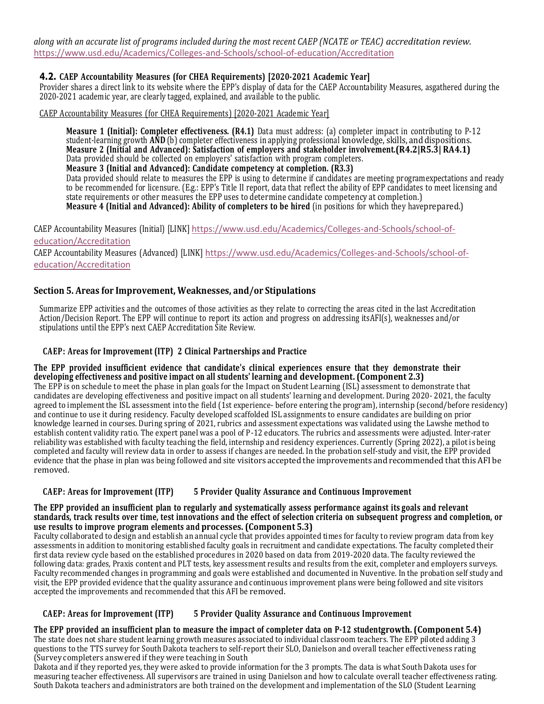*along with an accurate list of programs included during the most recent CAEP (NCATE or TEAC) accreditation review.* <https://www.usd.edu/Academics/Colleges-and-Schools/school-of-education/Accreditation>

# **4.2. CAEP Accountability Measures (for CHEA Requirements) [2020-2021 Academic Year]**

Provider shares a direct link to its website where the EPP's display of data for the CAEP Accountability Measures, asgathered during the 2020-2021 academic year, are clearly tagged, explained, and available to the public.

CAEP Accountability Measures (for CHEA Requirements) [2020-2021 Academic Year]

**Measure 1 (Initial): Completer effectiveness. (R4.1)** Data must address: (a) completer impact in contributing to P-12 student-learning growth **AND** (b) completer effectiveness in applying professional knowledge, skills, and dispositions. **Measure 2 (Initial and Advanced): Satisfaction of employers and stakeholder involvement.(R4.2|R5.3| RA4.1)** Data provided should be collected on employers' satisfaction with program completers. **Measure 3 (Initial and Advanced): Candidate competency at completion. (R3.3)** Data provided should relate to measures the EPP is using to determine if candidates are meeting programexpectations and ready to be recommended for licensure. (E.g.: EPP's Title II report, data that reflect the ability of EPP candidates to meet licensing and state requirements or other measures the EPP uses to determine candidate competency at completion.) **Measure 4 (Initial and Advanced): Ability of completers to be hired** (in positions for which they haveprepared.)

CAEP Accountability Measures (Initial) [LINK] [https://www.usd.edu/Academics/Colleges-and-Schools/school-of](https://www.usd.edu/Academics/Colleges-and-Schools/school-of-education/Accreditation)[education/Accreditation](https://www.usd.edu/Academics/Colleges-and-Schools/school-of-education/Accreditation)

CAEP Accountability Measures (Advanced) [LINK] [https://www.usd.edu/Academics/Colleges-and-Schools/school-of](https://www.usd.edu/Academics/Colleges-and-Schools/school-of-education/Accreditation)[education/Accreditation](https://www.usd.edu/Academics/Colleges-and-Schools/school-of-education/Accreditation)

# **Section 5. Areas for Improvement, Weaknesses, and/or Stipulations**

Summarize EPP activities and the outcomes of those activities as they relate to correcting the areas cited in the last Accreditation Action/Decision Report. The EPP will continue to report its action and progress on addressing itsAFI(s), weaknesses and/or stipulations until the EPP's next CAEP Accreditation Site Review.

### **CAEP: Areas for Improvement (ITP) 2 Clinical Partnerships and Practice**

**The EPP provided insufficient evidence that candidate's clinical experiences ensure that they demonstrate their developing effectiveness and positive impact on all students' learning and development. (Component 2.3)** The EPP is on schedule to meet the phase in plan goals for the Impact on Student Learning (ISL) assessment to demonstrate that candidates are developing effectiveness and positive impact on all students' learning and development. During 2020- 2021, the faculty agreed to implement the ISL assessment into the field (1st experience- before entering the program), internship (second/before residency) and continue to use it during residency. Faculty developed scaffolded ISL assignments to ensure candidates are building on prior knowledge learned in courses. During spring of 2021, rubrics and assessment expectations was validated using the Lawshe method to establish content validity ratio. The expert panel was a pool of P-12 educators. The rubrics and assessments were adjusted. Inter-rater reliability was established with faculty teaching the field, internship and residency experiences. Currently (Spring 2022), a pilot is being completed and faculty will review data in order to assess if changes are needed. In the probation self-study and visit, the EPP provided evidence that the phase in plan was being followed and site visitors accepted the improvements and recommended thatthis AFI be removed.

#### **CAEP: Areas for Improvement (ITP) 5 Provider Quality Assurance and Continuous Improvement**

#### The EPP provided an insufficient plan to regularly and systematically assess performance against its goals and relevant standards, track results over time, test innovations and the effect of selection criteria on subsequent progress and completion, or **use results to improve program elements and processes. (Component 5.3)**

Faculty collaborated to design and establish an annual cycle that provides appointed times for faculty to review program data from key assessments in addition to monitoring established faculty goals in recruitment and candidate expectations. The faculty completed their first data review cycle based on the established procedures in 2020 based on data from 2019-2020 data. The faculty reviewed the following data: grades, Praxis content and PLT tests, key assessment results and results from the exit, completer and employers surveys. Faculty recommended changes in programming and goals were established and documented in Nuventive. In the probation self study and visit, the EPP provided evidence that the quality assurance and continuous improvement plans were being followed and site visitors accepted the improvements and recommended that this AFI be removed.

### **CAEP: Areas for Improvement (ITP) 5 Provider Quality Assurance and Continuous Improvement**

The EPP provided an insufficient plan to measure the impact of completer data on P-12 studentgrowth. (Component 5.4) The state does not share student learning growth measures associated to individual classroom teachers. The EPP piloted adding 3 questions to the TTS survey for South Dakota teachers to self-report their SLO, Danielson and overall teacher effectiveness rating (Survey completers answered if they were teaching in South

Dakota and if they reported yes, they were asked to provide information for the 3 prompts. The data is what South Dakota uses for measuring teacher effectiveness. All supervisors are trained in using Danielson and how to calculate overall teacher effectiveness rating. South Dakota teachers and administrators are both trained on the development and implementation of the SLO (Student Learning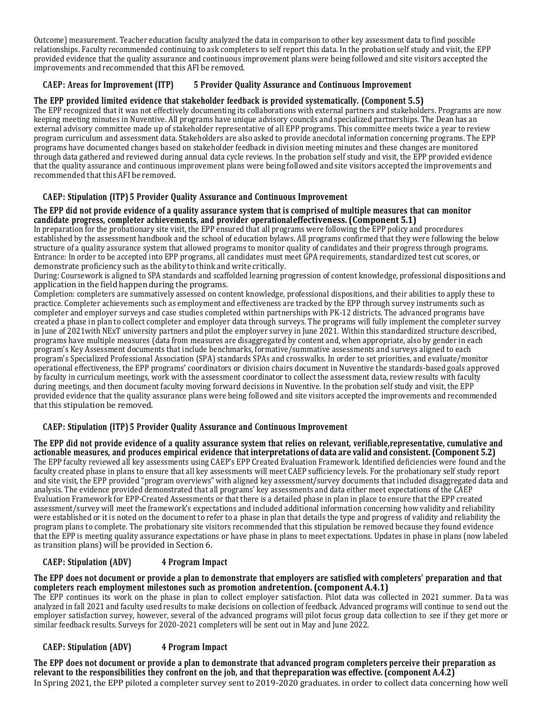Outcome) measurement. Teacher education faculty analyzed the data in comparison to other key assessment data to find possible relationships. Faculty recommended continuing to ask completers to self report this data. In the probation self study and visit, the EPP provided evidence that the quality assurance and continuous improvement plans were being followed and site visitors accepted the improvements and recommended that this AFI be removed.

# **CAEP: Areas for Improvement (ITP) 5 Provider Quality Assurance and Continuous Improvement**

### **The EPP provided limited evidence that stakeholder feedback is provided systematically. (Component 5.5)**

The EPP recognized that it was not effectively documenting its collaborations with external partners and stakeholders. Programs are now keeping meeting minutes in Nuventive. All programs have unique advisory councils and specialized partnerships. The Dean has an external advisory committee made up of stakeholder representative of all EPP programs. This committee meets twice a year to review program curriculum and assessment data. Stakeholders are also asked to provide anecdotal information concerning programs. The EPP programs have documented changes based on stakeholder feedback in division meeting minutes and these changes are monitored through data gathered and reviewed during annual data cycle reviews. In the probation self study and visit, the EPP provided evidence that the quality assurance and continuous improvement plans were being followed and site visitors accepted the improvements and recommended that this AFI be removed.

### **CAEP: Stipulation (ITP) 5 Provider Quality Assurance and Continuous Improvement**

#### The EPP did not provide evidence of a quality assurance system that is comprised of multiple measures that can monitor **candidate progress, completer achievements, and provider operationaleffectiveness. (Component 5.1)**

In preparation for the probationary site visit, the EPP ensured that all programs were following the EPP policy and procedures established by the assessment handbook and the school of education bylaws. All programs confirmed that they were following the below structure of a quality assurance system that allowed programs to monitor quality of candidates and their progress through programs. Entrance: In order to be accepted into EPP programs, all candidates must meet GPA requirements, standardized test cut scores, or demonstrate proficiency such as the ability to think and write critically.

During: Coursework is aligned to SPA standards and scaffolded learning progression of content knowledge, professional dispositions and application in the field happen during the programs.

Completion: completers are summatively assessed on content knowledge, professional dispositions, and their abilities to apply these to practice. Completer achievements such as employment and effectiveness are tracked by the EPP through survey instruments such as completer and employer surveys and case studies completed within partnerships with PK-12 districts. The advanced programs have created a phase in plan to collect completer and employer data through surveys. The programs will fully implement the completer survey in June of 2021with NExT university partners and pilot the employer survey in June 2021. Within this standardized structure described, programs have multiple measures (data from measures are disaggregated by content and, when appropriate, also by gender in each program's Key Assessment documents that include benchmarks, formative/summative assessments and surveys aligned to each program's Specialized Professional Association (SPA) standards SPAs and crosswalks. In order to set priorities, and evaluate/monitor operational effectiveness, the EPP programs' coordinators or division chairs document in Nuventive the standards-based goals approved by faculty in curriculum meetings, work with the assessment coordinator to collect the assessment data, review results with faculty during meetings, and then document faculty moving forward decisions in Nuventive. In the probation self study and visit, the EPP provided evidence that the quality assurance plans were being followed and site visitors accepted the improvements and recommended that this stipulation be removed.

### **CAEP: Stipulation (ITP) 5 Provider Quality Assurance and Continuous Improvement**

The EPP did not provide evidence of a quality assurance system that relies on relevant, verifiable, representative, cumulative and actionable measures, and produces empirical evidence that interpretations of data are valid and consistent. (Component 5.2) The EPP faculty reviewed all key assessments using CAEP's EPP Created Evaluation Framework. Identified deficiencies were found and the faculty created phase in plans to ensure that all key assessments will meet CAEP sufficiency levels. For the probationary self study report and site visit, the EPP provided "program overviews" with aligned key assessment/survey documents that included disaggregated data and analysis. The evidence provided demonstrated that all programs' key assessments and data either meet expectations of the CAEP Evaluation Framework for EPP-Created Assessments or that there is a detailed phase in plan in place to ensure that the EPP created assessment/survey will meet the framework's expectations and included additional information concerning how validity and reliability were established or it is noted on the document to refer to a phase in plan that details the type and progress of validity and reliability the program plans to complete. The probationary site visitors recommended that this stipulation be removed because they found evidence that the EPP is meeting quality assurance expectations or have phase in plans to meet expectations. Updates in phase in plans (now labeled as transition plans) will be provided in Section 6.

### **CAEP: Stipulation (ADV) 4 Program Impact**

#### The EPP does not document or provide a plan to demonstrate that employers are satisfied with completers' preparation and that **completers reach employment milestones such as promotion andretention. (component A.4.1)**

The EPP continues its work on the phase in plan to collect employer satisfaction. Pilot data was collected in 2021 summer. Da ta was analyzed in fall 2021 and faculty used results to make decisions on collection of feedback. Advanced programs will continue to send out the employer satisfaction survey, however, several of the advanced programs will pilot focus group data collection to see if they get more or similar feedback results. Surveys for 2020-2021 completers will be sent out in May and June 2022.

### **CAEP: Stipulation (ADV) 4 Program Impact**

The EPP does not document or provide a plan to demonstrate that advanced program completers perceive their preparation as relevant to the responsibilities they confront on the job, and that the preparation was effective. (component  $A.\overline{4}.\overline{2}$ ) In Spring 2021, the EPP piloted a completer survey sent to 2019-2020 graduates. in order to collect data concerning how well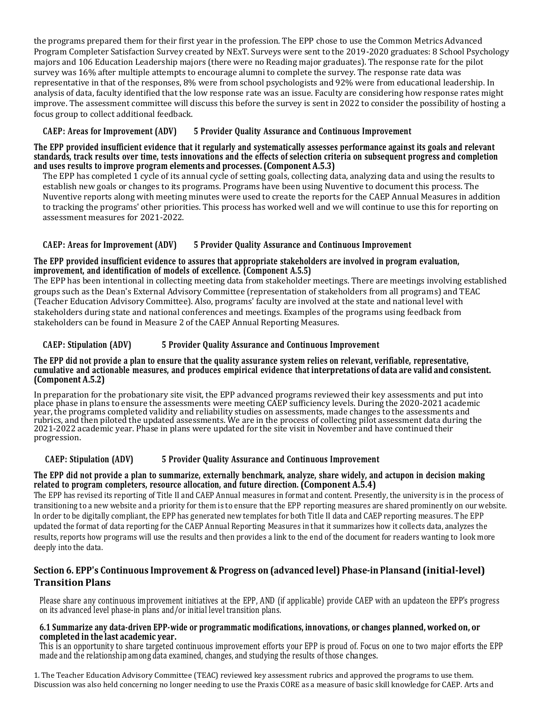the programs prepared them for their first year in the profession. The EPP chose to use the Common Metrics Advanced Program Completer Satisfaction Survey created by NExT. Surveys were sent to the 2019-2020 graduates: 8 School Psychology majors and 106 Education Leadership majors (there were no Reading major graduates). The response rate for the pilot survey was 16% after multiple attempts to encourage alumni to complete the survey. The response rate data was representative in that of the responses, 8% were from school psychologists and 92% were from educational leadership. In analysis of data, faculty identified that the low response rate was an issue. Faculty are considering how response rates might improve. The assessment committee will discuss this before the survey is sent in 2022 to consider the possibility of hosting a focus group to collect additional feedback.

# **CAEP: Areas for Improvement (ADV) 5 Provider Quality Assurance and Continuous Improvement**

#### The EPP provided insufficient evidence that it regularly and systematically assesses performance against its goals and relevant standards, track results over time, tests innovations and the effects of selection criteria on subsequent progress and completion **and uses results to improve program elements and processes. (Component A.5.3)**

The EPP has completed 1 cycle of its annual cycle of setting goals, collecting data, analyzing data and using the results to establish new goals or changes to its programs. Programs have been using Nuventive to document this process. The Nuventive reports along with meeting minutes were used to create the reports for the CAEP Annual Measures in addition to tracking the programs' other priorities. This process has worked well and we will continue to use this for reporting on assessment measures for 2021-2022.

# **CAEP: Areas for Improvement (ADV) 5 Provider Quality Assurance and Continuous Improvement**

### **The EPP provided insufficient evidence to assures that appropriate stakeholders are involved in program evaluation, improvement, and identification of models of excellence. (Component A.5.5)**

The EPP has been intentional in collecting meeting data from stakeholder meetings. There are meetings involving established groups such as the Dean's External Advisory Committee (representation of stakeholders from all programs) and TEAC (Teacher Education Advisory Committee). Also, programs' faculty are involved at the state and national level with stakeholders during state and national conferences and meetings. Examples of the programs using feedback from stakeholders can be found in Measure 2 of the CAEP Annual Reporting Measures.

# **CAEP: Stipulation (ADV) 5 Provider Quality Assurance and Continuous Improvement**

#### The EPP did not provide a plan to ensure that the quality assurance system relies on relevant, verifiable, representative, cumulative and actionable measures, and produces empirical evidence that interpretations of data are valid and consistent. **(Component A.5.2)**

In preparation for the probationary site visit, the EPP advanced programs reviewed their key assessments and put into place phase in plans to ensure the assessments were meeting CAEP sufficiency levels. During the 2020-2021 academic year, the programs completed validity and reliability studies on assessments, made changes to the assessments and rubrics, and then piloted the updated assessments. We are in the process of collecting pilot assessment data during the 2021-2022 academic year. Phase in plans were updated for the site visit in November and have continued their progression.

### **CAEP: Stipulation (ADV) 5 Provider Quality Assurance and Continuous Improvement**

### The EPP did not provide a plan to summarize, externally benchmark, analyze, share widely, and actupon in decision making **related to program completers, resource allocation, and future direction. (Component A.5.4)**

The EPP has revised its reporting of Title II and CAEP Annual measures in format and content. Presently, the university is in the process of transitioning to a new website and a priority for them is to ensure that the EPP reporting measures are shared prominently on our website. In order to be digitally compliant, the EPP has generated new templates for both Title II data and CAEP reporting measures. The EPP updated the format of data reporting for the CAEP Annual Reporting Measures in that it summarizes how it collects data, analyzes the results, reports how programs will use the results and then provides a link to the end of the document for readers wanting to look more deeply into the data.

# **Section 6. EPP's Continuous Improvement & Progress on (advanced level) Phase-in Plansand(initial-level) Transition Plans**

Please share any continuous improvement initiatives at the EPP, AND (if applicable) provide CAEP with an updateon the EPP's progress on its advanced level phase-in plans and/or initial level transition plans.

#### **6.1 Summarize any data-driven EPP-wide or programmatic modifications, innovations, or changes planned, worked on, or completed in the last academic year.**

This is an opportunity to share targeted continuous improvement efforts your EPP is proud of. Focus on one to two major efforts the EPP made and the relationship among data examined, changes, and studying the results of those changes.

1. The Teacher Education Advisory Committee (TEAC) reviewed key assessment rubrics and approved the programs to use them. Discussion was also held concerning no longer needing to use the Praxis CORE as a measure of basic skill knowledge for CAEP. Arts and